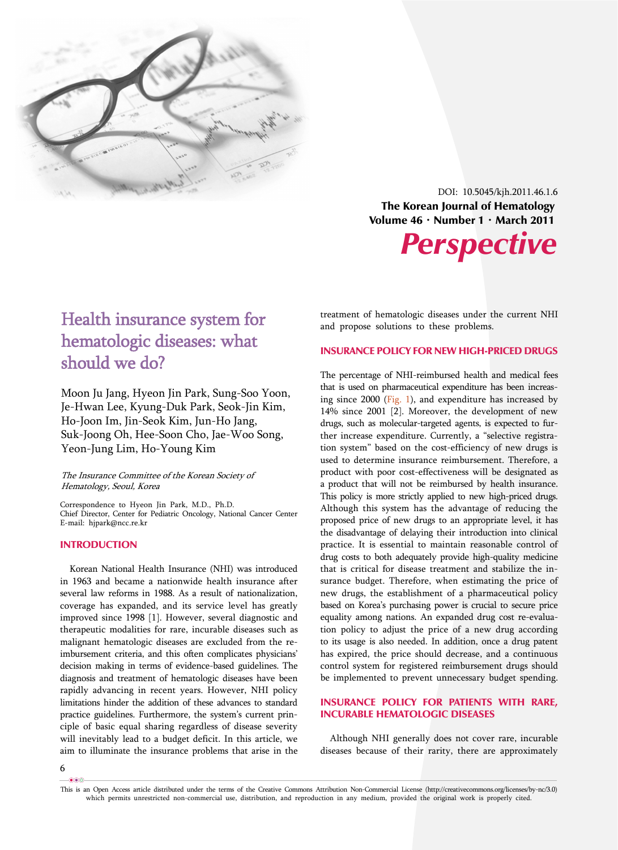

DOI: 10.5045/kjh.2011.46.1.6 The Korean Journal of Hematology Volume 46ㆍNumber 1ㆍMarch 2011



# Health insurance system for hematologic diseases: what should we do?

Moon Ju Jang, Hyeon Jin Park, Sung-Soo Yoon, Je-Hwan Lee, Kyung-Duk Park, Seok-Jin Kim, Ho-Joon Im, Jin-Seok Kim, Jun-Ho Jang, Suk-Joong Oh, Hee-Soon Cho, Jae-Woo Song, Yeon-Jung Lim, Ho-Young Kim

#### The Insurance Committee of the Korean Society of Hematology, Seoul, Korea

Correspondence to Hyeon Jin Park, M.D., Ph.D. Chief Director, Center for Pediatric Oncology, National Cancer Center E-mail: hjpark@ncc.re.kr

### INTRODUCTION

 Korean National Health Insurance (NHI) was introduced in 1963 and became a nationwide health insurance after several law reforms in 1988. As a result of nationalization, coverage has expanded, and its service level has greatly improved since 1998 [1]. However, several diagnostic and therapeutic modalities for rare, incurable diseases such as malignant hematologic diseases are excluded from the reimbursement criteria, and this often complicates physicians' decision making in terms of evidence-based guidelines. The diagnosis and treatment of hematologic diseases have been rapidly advancing in recent years. However, NHI policy limitations hinder the addition of these advances to standard practice guidelines. Furthermore, the system's current principle of basic equal sharing regardless of disease severity will inevitably lead to a budget deficit. In this article, we aim to illuminate the insurance problems that arise in the treatment of hematologic diseases under the current NHI and propose solutions to these problems.

#### INSURANCE POLICY FOR NEW HIGH-PRICED DRUGS

The percentage of NHI-reimbursed health and medical fees that is used on pharmaceutical expenditure has been increasing since 2000 (Fig. 1), and expenditure has increased by 14% since 2001 [2]. Moreover, the development of new drugs, such as molecular-targeted agents, is expected to further increase expenditure. Currently, a "selective registration system" based on the cost-efficiency of new drugs is used to determine insurance reimbursement. Therefore, a product with poor cost-effectiveness will be designated as a product that will not be reimbursed by health insurance. This policy is more strictly applied to new high-priced drugs. Although this system has the advantage of reducing the proposed price of new drugs to an appropriate level, it has the disadvantage of delaying their introduction into clinical practice. It is essential to maintain reasonable control of drug costs to both adequately provide high-quality medicine that is critical for disease treatment and stabilize the insurance budget. Therefore, when estimating the price of new drugs, the establishment of a pharmaceutical policy based on Korea's purchasing power is crucial to secure price equality among nations. An expanded drug cost re-evaluation policy to adjust the price of a new drug according to its usage is also needed. In addition, once a drug patent has expired, the price should decrease, and a continuous control system for registered reimbursement drugs should be implemented to prevent unnecessary budget spending.

## INSURANCE POLICY FOR PATIENTS WITH RARE, INCURABLE HEMATOLOGIC DISEASES

 Although NHI generally does not cover rare, incurable diseases because of their rarity, there are approximately

6

 $\odot$ 

This is an Open Access article distributed under the terms of the Creative Commons Attribution Non-Commercial License (http://creativecommons.org/licenses/by-nc/3.0) which permits unrestricted non-commercial use, distribution, and reproduction in any medium, provided the original work is properly cited.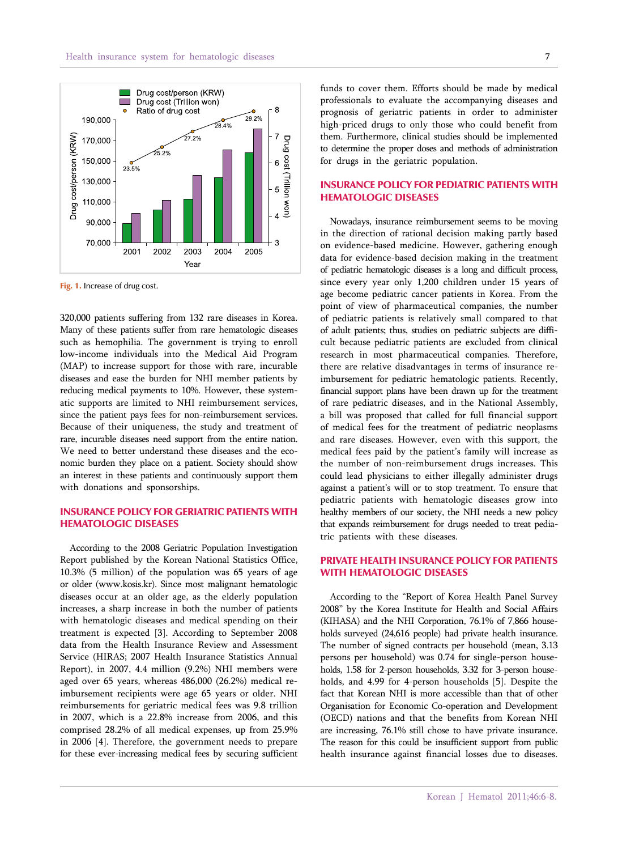

Fig. 1. Increase of drug cost.

320,000 patients suffering from 132 rare diseases in Korea. Many of these patients suffer from rare hematologic diseases such as hemophilia. The government is trying to enroll low-income individuals into the Medical Aid Program (MAP) to increase support for those with rare, incurable diseases and ease the burden for NHI member patients by reducing medical payments to 10%. However, these systematic supports are limited to NHI reimbursement services, since the patient pays fees for non-reimbursement services. Because of their uniqueness, the study and treatment of rare, incurable diseases need support from the entire nation. We need to better understand these diseases and the economic burden they place on a patient. Society should show an interest in these patients and continuously support them with donations and sponsorships.

## INSURANCE POLICY FOR GERIATRIC PATIENTS WITH HEMATOLOGIC DISEASES

 According to the 2008 Geriatric Population Investigation Report published by the Korean National Statistics Office, 10.3% (5 million) of the population was 65 years of age or older (www.kosis.kr). Since most malignant hematologic diseases occur at an older age, as the elderly population increases, a sharp increase in both the number of patients with hematologic diseases and medical spending on their treatment is expected [3]. According to September 2008 data from the Health Insurance Review and Assessment Service (HIRAS; 2007 Health Insurance Statistics Annual Report), in 2007, 4.4 million (9.2%) NHI members were aged over 65 years, whereas 486,000 (26.2%) medical reimbursement recipients were age 65 years or older. NHI reimbursements for geriatric medical fees was 9.8 trillion in 2007, which is a 22.8% increase from 2006, and this comprised 28.2% of all medical expenses, up from 25.9% in 2006 [4]. Therefore, the government needs to prepare for these ever-increasing medical fees by securing sufficient funds to cover them. Efforts should be made by medical professionals to evaluate the accompanying diseases and prognosis of geriatric patients in order to administer high-priced drugs to only those who could benefit from them. Furthermore, clinical studies should be implemented to determine the proper doses and methods of administration for drugs in the geriatric population.

## INSURANCE POLICY FOR PEDIATRIC PATIENTS WITH HEMATOLOGIC DISEASES

 Nowadays, insurance reimbursement seems to be moving in the direction of rational decision making partly based on evidence-based medicine. However, gathering enough data for evidence-based decision making in the treatment of pediatric hematologic diseases is a long and difficult process, since every year only 1,200 children under 15 years of age become pediatric cancer patients in Korea. From the point of view of pharmaceutical companies, the number of pediatric patients is relatively small compared to that of adult patients; thus, studies on pediatric subjects are difficult because pediatric patients are excluded from clinical research in most pharmaceutical companies. Therefore, there are relative disadvantages in terms of insurance reimbursement for pediatric hematologic patients. Recently, financial support plans have been drawn up for the treatment of rare pediatric diseases, and in the National Assembly, a bill was proposed that called for full financial support of medical fees for the treatment of pediatric neoplasms and rare diseases. However, even with this support, the medical fees paid by the patient's family will increase as the number of non-reimbursement drugs increases. This could lead physicians to either illegally administer drugs against a patient's will or to stop treatment. To ensure that pediatric patients with hematologic diseases grow into healthy members of our society, the NHI needs a new policy that expands reimbursement for drugs needed to treat pediatric patients with these diseases.

## PRIVATE HEALTH INSURANCE POLICY FOR PATIENTS WITH HEMATOLOGIC DISEASES

 According to the "Report of Korea Health Panel Survey 2008" by the Korea Institute for Health and Social Affairs (KIHASA) and the NHI Corporation, 76.1% of 7,866 households surveyed (24,616 people) had private health insurance. The number of signed contracts per household (mean, 3.13 persons per household) was 0.74 for single-person households, 1.58 for 2-person households, 3.32 for 3-person households, and 4.99 for 4-person households [5]. Despite the fact that Korean NHI is more accessible than that of other Organisation for Economic Co-operation and Development (OECD) nations and that the benefits from Korean NHI are increasing, 76.1% still chose to have private insurance. The reason for this could be insufficient support from public health insurance against financial losses due to diseases.